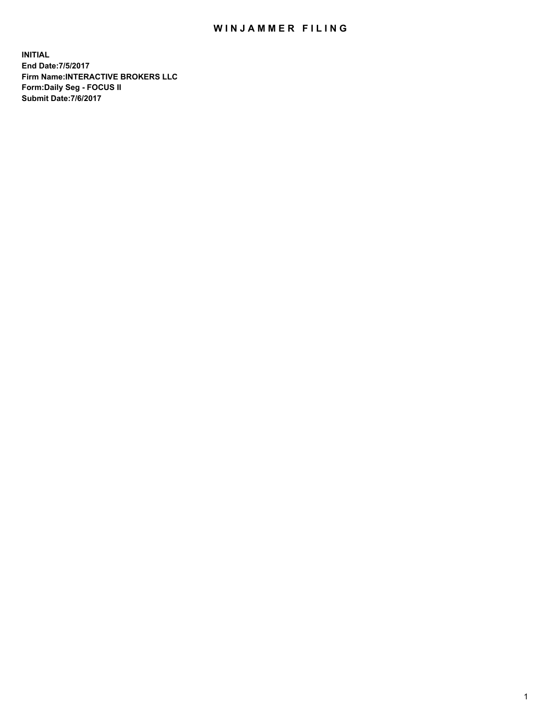## WIN JAMMER FILING

**INITIAL End Date:7/5/2017 Firm Name:INTERACTIVE BROKERS LLC Form:Daily Seg - FOCUS II Submit Date:7/6/2017**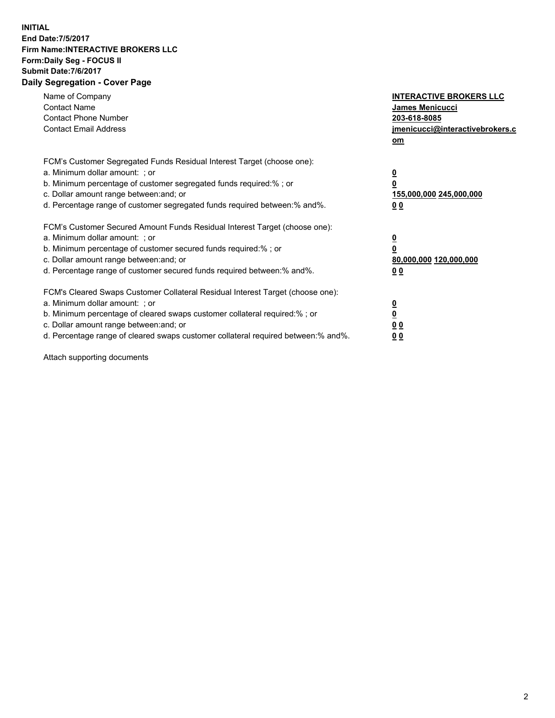## **INITIAL End Date:7/5/2017 Firm Name:INTERACTIVE BROKERS LLC Form:Daily Seg - FOCUS II Submit Date:7/6/2017 Daily Segregation - Cover Page**

| Name of Company<br><b>Contact Name</b><br><b>Contact Phone Number</b><br><b>Contact Email Address</b>                                                                                                                                                                                                                          | <b>INTERACTIVE BROKERS LLC</b><br><b>James Menicucci</b><br>203-618-8085<br>jmenicucci@interactivebrokers.c<br>om |
|--------------------------------------------------------------------------------------------------------------------------------------------------------------------------------------------------------------------------------------------------------------------------------------------------------------------------------|-------------------------------------------------------------------------------------------------------------------|
| FCM's Customer Segregated Funds Residual Interest Target (choose one):<br>a. Minimum dollar amount: ; or<br>b. Minimum percentage of customer segregated funds required:% ; or<br>c. Dollar amount range between: and; or<br>d. Percentage range of customer segregated funds required between: % and %.                       | $\overline{\mathbf{0}}$<br>0<br>155,000,000 245,000,000<br>00                                                     |
| FCM's Customer Secured Amount Funds Residual Interest Target (choose one):<br>a. Minimum dollar amount: ; or<br>b. Minimum percentage of customer secured funds required:%; or<br>c. Dollar amount range between: and; or<br>d. Percentage range of customer secured funds required between: % and %.                          | $\overline{\mathbf{0}}$<br>0<br>80,000,000 120,000,000<br>00                                                      |
| FCM's Cleared Swaps Customer Collateral Residual Interest Target (choose one):<br>a. Minimum dollar amount: ; or<br>b. Minimum percentage of cleared swaps customer collateral required:% ; or<br>c. Dollar amount range between: and; or<br>d. Percentage range of cleared swaps customer collateral required between:% and%. | $\overline{\mathbf{0}}$<br>$\overline{\mathbf{0}}$<br>00<br>0 <sub>0</sub>                                        |

Attach supporting documents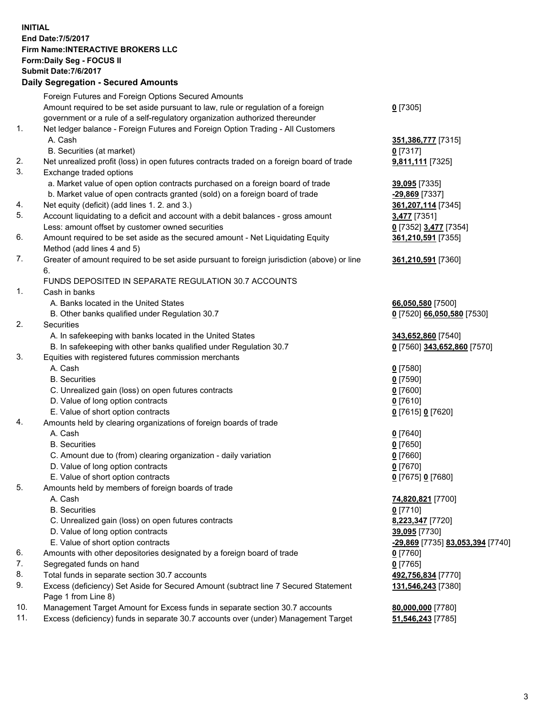## **INITIAL End Date:7/5/2017 Firm Name:INTERACTIVE BROKERS LLC Form:Daily Seg - FOCUS II Submit Date:7/6/2017 Daily Segregation - Secured Amounts**

|     | Pany Obgrogation Obbarba / 11110ani                                                                        |                                  |
|-----|------------------------------------------------------------------------------------------------------------|----------------------------------|
|     | Foreign Futures and Foreign Options Secured Amounts                                                        |                                  |
|     | Amount required to be set aside pursuant to law, rule or regulation of a foreign                           | $0$ [7305]                       |
|     | government or a rule of a self-regulatory organization authorized thereunder                               |                                  |
| 1.  | Net ledger balance - Foreign Futures and Foreign Option Trading - All Customers                            |                                  |
|     | A. Cash                                                                                                    | 351,386,777 [7315]               |
|     | B. Securities (at market)                                                                                  | 0 [7317]                         |
| 2.  | Net unrealized profit (loss) in open futures contracts traded on a foreign board of trade                  | 9,811,111 [7325]                 |
| 3.  | Exchange traded options                                                                                    |                                  |
|     | a. Market value of open option contracts purchased on a foreign board of trade                             | 39,095 [7335]                    |
|     | b. Market value of open contracts granted (sold) on a foreign board of trade                               | $-29,869$ [7337]                 |
| 4.  | Net equity (deficit) (add lines 1. 2. and 3.)                                                              | 361, 207, 114 [7345]             |
| 5.  | Account liquidating to a deficit and account with a debit balances - gross amount                          | <b>3,477</b> [7351]              |
|     | Less: amount offset by customer owned securities                                                           | 0 [7352] 3,477 [7354]            |
| 6.  | Amount required to be set aside as the secured amount - Net Liquidating Equity                             | 361,210,591 [7355]               |
|     | Method (add lines 4 and 5)                                                                                 |                                  |
| 7.  | Greater of amount required to be set aside pursuant to foreign jurisdiction (above) or line                | 361,210,591 [7360]               |
|     | 6.                                                                                                         |                                  |
|     | FUNDS DEPOSITED IN SEPARATE REGULATION 30.7 ACCOUNTS                                                       |                                  |
| 1.  | Cash in banks                                                                                              |                                  |
|     | A. Banks located in the United States                                                                      | 66,050,580 [7500]                |
|     | B. Other banks qualified under Regulation 30.7                                                             | 0 [7520] 66,050,580 [7530]       |
| 2.  | Securities                                                                                                 |                                  |
|     | A. In safekeeping with banks located in the United States                                                  | 343,652,860 [7540]               |
|     | B. In safekeeping with other banks qualified under Regulation 30.7                                         | 0 [7560] 343,652,860 [7570]      |
| 3.  | Equities with registered futures commission merchants                                                      |                                  |
|     | A. Cash                                                                                                    | $0$ [7580]                       |
|     | <b>B.</b> Securities                                                                                       | $0$ [7590]                       |
|     | C. Unrealized gain (loss) on open futures contracts                                                        | $0$ [7600]                       |
|     | D. Value of long option contracts                                                                          | $0$ [7610]                       |
|     | E. Value of short option contracts                                                                         | 0 [7615] 0 [7620]                |
| 4.  | Amounts held by clearing organizations of foreign boards of trade                                          |                                  |
|     | A. Cash                                                                                                    | $0$ [7640]                       |
|     | <b>B.</b> Securities                                                                                       | $0$ [7650]                       |
|     | C. Amount due to (from) clearing organization - daily variation                                            | $0$ [7660]                       |
|     | D. Value of long option contracts                                                                          | $0$ [7670]                       |
|     | E. Value of short option contracts                                                                         | 0 [7675] 0 [7680]                |
| 5.  | Amounts held by members of foreign boards of trade                                                         |                                  |
|     | A. Cash                                                                                                    | 74,820,821 [7700]                |
|     | <b>B.</b> Securities                                                                                       | $0$ [7710]                       |
|     | C. Unrealized gain (loss) on open futures contracts                                                        | 8,223,347 [7720]                 |
|     | D. Value of long option contracts                                                                          | 39,095 [7730]                    |
|     | E. Value of short option contracts                                                                         | -29,869 [7735] 83,053,394 [7740] |
| 6.  | Amounts with other depositories designated by a foreign board of trade                                     | 0 [7760]                         |
| 7.  | Segregated funds on hand                                                                                   | $0$ [7765]                       |
| 8.  | Total funds in separate section 30.7 accounts                                                              | 492,756,834 [7770]               |
| 9.  | Excess (deficiency) Set Aside for Secured Amount (subtract line 7 Secured Statement<br>Page 1 from Line 8) | 131,546,243 [7380]               |
| 10. | Management Target Amount for Excess funds in separate section 30.7 accounts                                | 80,000,000 [7780]                |
| 11. | Excess (deficiency) funds in separate 30.7 accounts over (under) Management Target                         | 51,546,243 [7785]                |
|     |                                                                                                            |                                  |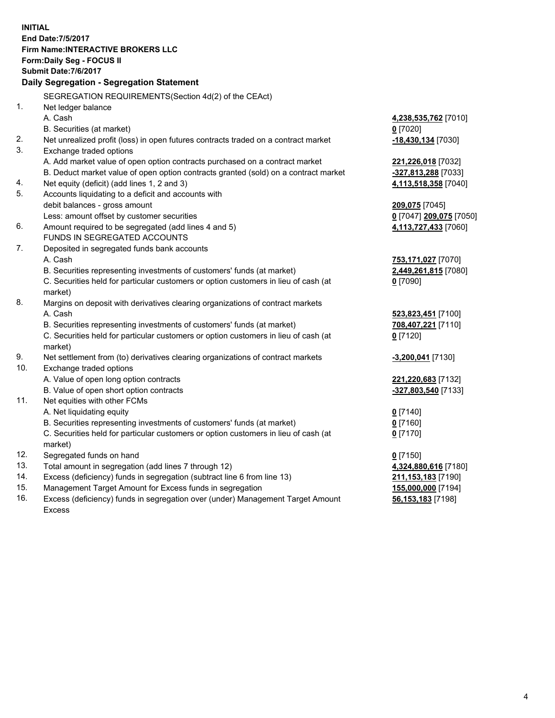**INITIAL End Date:7/5/2017 Firm Name:INTERACTIVE BROKERS LLC Form:Daily Seg - FOCUS II Submit Date:7/6/2017 Daily Segregation - Segregation Statement** SEGREGATION REQUIREMENTS(Section 4d(2) of the CEAct) 1. Net ledger balance A. Cash **4,238,535,762** [7010] B. Securities (at market) **0** [7020] 2. Net unrealized profit (loss) in open futures contracts traded on a contract market **-18,430,134** [7030] 3. Exchange traded options A. Add market value of open option contracts purchased on a contract market **221,226,018** [7032] B. Deduct market value of open option contracts granted (sold) on a contract market **-327,813,288** [7033] 4. Net equity (deficit) (add lines 1, 2 and 3) **4,113,518,358** [7040] 5. Accounts liquidating to a deficit and accounts with debit balances - gross amount **209,075** [7045] Less: amount offset by customer securities **0** [7047] **209,075** [7050] 6. Amount required to be segregated (add lines 4 and 5) **4,113,727,433** [7060] FUNDS IN SEGREGATED ACCOUNTS 7. Deposited in segregated funds bank accounts A. Cash **753,171,027** [7070] B. Securities representing investments of customers' funds (at market) **2,449,261,815** [7080] C. Securities held for particular customers or option customers in lieu of cash (at market) **0** [7090] 8. Margins on deposit with derivatives clearing organizations of contract markets A. Cash **523,823,451** [7100] B. Securities representing investments of customers' funds (at market) **708,407,221** [7110] C. Securities held for particular customers or option customers in lieu of cash (at market) **0** [7120] 9. Net settlement from (to) derivatives clearing organizations of contract markets **-3,200,041** [7130] 10. Exchange traded options A. Value of open long option contracts **221,220,683** [7132] B. Value of open short option contracts **-327,803,540** [7133] 11. Net equities with other FCMs A. Net liquidating equity **0** [7140] B. Securities representing investments of customers' funds (at market) **0** [7160] C. Securities held for particular customers or option customers in lieu of cash (at market) **0** [7170] 12. Segregated funds on hand **0** [7150] 13. Total amount in segregation (add lines 7 through 12) **4,324,880,616** [7180] 14. Excess (deficiency) funds in segregation (subtract line 6 from line 13) **211,153,183** [7190] 15. Management Target Amount for Excess funds in segregation **155,000,000** [7194] 16. Excess (deficiency) funds in segregation over (under) Management Target Amount **56,153,183** [7198]

Excess